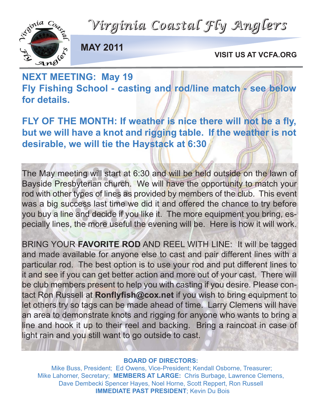*Virginia Coastal Fly Anglers*



**MAY 2011**

**VISIT US AT VCFA.ORG**

#### **NEXT MEETING: May 19** Fly Fishing School - casting and rod/line match - see below **for details.**

**FLY OF THE MONTH: If weather is nice there will not be a fly, but we will have a knot and rigging table. If the weather is not desirable, we will tie the Haystack at 6:30**

The May meeting will start at 6:30 and will be held outside on the lawn of Bayside Presbyterian church. We will have the opportunity to match your rod with other types of lines as provided by members of the club. This event was a big success last time we did it and offered the chance to try before you buy a line and decide if you like it. The more equipment you bring, especially lines, the more useful the evening will be. Here is how it will work.

BRING YOUR **FAVORITE ROD** AND REEL WITH LINE: It will be tagged and made available for anyone else to cast and pair different lines with a particular rod. The best option is to use your rod and put different lines to it and see if you can get better action and more out of your cast. There will be club members present to help you with casting if you desire. Please contact Ron Russell at **Ronflyfish@cox.net** if you wish to bring equipment to let others try so tags can be made ahead of time. Larry Clemens will have an area to demonstrate knots and rigging for anyone who wants to bring a line and hook it up to their reel and backing. Bring a raincoat in case of light rain and you still want to go outside to cast.

#### **BOARD OF DIRECTORS:**

Mike Buss, President; Ed Owens, Vice-President; Kendall Osborne, Treasurer; Mike Lahorner, Secretary; **MEMBERS AT LARGE:** Chris Burbage, Lawrence Clemens, Dave Dembecki Spencer Hayes, Noel Horne, Scott Reppert, Ron Russell **IMMEDIATE PAST PRESIDENT**; Kevin Du Bois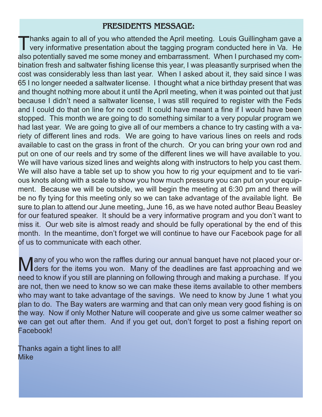#### **PRESIDENTS MESSAGE:**

Thanks again to all of you who attended the April meeting. Louis Guillingham gave a<br>very informative presentation about the tagging program conducted here in Va. He also potentially saved me some money and embarrassment. When I purchased my combination fresh and saltwater fishing license this year, I was pleasantly surprised when the cost was considerably less than last year. When I asked about it, they said since I was 65 I no longer needed a saltwater license. I thought what a nice birthday present that was and thought nothing more about it until the April meeting, when it was pointed out that just because I didn't need a saltwater license, I was still required to register with the Feds and I could do that on line for no cost! It could have meant a fine if I would have been stopped. This month we are going to do something similar to a very popular program we had last year. We are going to give all of our members a chance to try casting with a variety of different lines and rods. We are going to have various lines on reels and rods available to cast on the grass in front of the church. Or you can bring your own rod and put on one of our reels and try some of the different lines we will have available to you. We will have various sized lines and weights along with instructors to help you cast them. We will also have a table set up to show you how to rig your equipment and to tie various knots along with a scale to show you how much pressure you can put on your equipment. Because we will be outside, we will begin the meeting at 6:30 pm and there will be no fly tying for this meeting only so we can take advantage of the available light. Be sure to plan to attend our June meeting, June 16, as we have noted author Beau Beasley for our featured speaker. It should be a very informative program and you don't want to miss it. Our web site is almost ready and should be fully operational by the end of this month. In the meantime, don't forget we will continue to have our Facebook page for all of us to communicate with each other.

Many of you who won the raffles during our annual banquet have not placed your or-<br>Mars for the items you won. Many of the deadlines are fast approaching and we need to know if you still are planning on following through and making a purchase. If you are not, then we need to know so we can make these items available to other members who may want to take advantage of the savings. We need to know by June 1 what you plan to do. The Bay waters are warming and that can only mean very good fishing is on the way. Now if only Mother Nature will cooperate and give us some calmer weather so we can get out after them. And if you get out, don't forget to post a fishing report on Facebook!

Thanks again a tight lines to all! Mike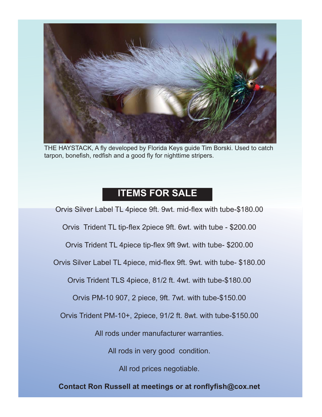

THE HAYSTACK, A fly developed by Florida Keys guide Tim Borski. Used to catch tarpon, bonefish, redfish and a good fly for nighttime stripers.

#### **ITEMS FOR SALE**

Orvis Silver Label TL 4piece 9ft. 9wt. mid-flex with tube-\$180.00

Orvis Trident TL tip-flex 2piece 9ft. 6wt. with tube - \$200.00

Orvis Trident TL 4piece tip-flex 9ft 9wt. with tube- \$200.00

Orvis Silver Label TL 4piece, mid-flex 9ft. 9wt. with tube- \$180.00

Orvis Trident TLS 4piece, 81/2 ft. 4wt. with tube-\$180.00

Orvis PM-10 907, 2 piece, 9ft. 7wt. with tube-\$150.00

Orvis Trident PM-10+, 2piece, 91/2 ft. 8wt. with tube-\$150.00

All rods under manufacturer warranties.

All rods in very good condition.

All rod prices negotiable.

**Contact Ron Russell at meetings or at ronflyfish@cox.net**